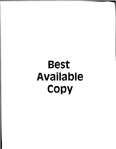# Best Available **COPY**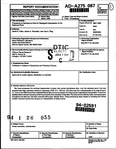|                                                                                                                                                                                                                                                                                                                                                                                                               | <b>REPORT DOCUMENTATION  </b>                       | AD-A275 087                                                     | ed<br>0188                                                                                                                                                                                                                                                                                                                                                                                                                                                                                                                                    |
|---------------------------------------------------------------------------------------------------------------------------------------------------------------------------------------------------------------------------------------------------------------------------------------------------------------------------------------------------------------------------------------------------------------|-----------------------------------------------------|-----------------------------------------------------------------|-----------------------------------------------------------------------------------------------------------------------------------------------------------------------------------------------------------------------------------------------------------------------------------------------------------------------------------------------------------------------------------------------------------------------------------------------------------------------------------------------------------------------------------------------|
| Public reporting burden for this collection of information is estimated to average 1 hour per respon<br>maintaining the data needed, and complating and reviewing the collection of information. Send comm<br>for reducing this burden, to Washington Headquarters Services, Directorate for information Opera<br>the Office of Management and Budget, Papensork Reduction Project (0704-0188), Washington, E |                                                     | <b>IN LINE REE</b>                                              | ross, gathering and<br>anoling pugasitions<br>22202-4302, and to                                                                                                                                                                                                                                                                                                                                                                                                                                                                              |
| 1. Agency Use Only (Leave blank).                                                                                                                                                                                                                                                                                                                                                                             | 2. Report Date.<br>March 1993                       | 3. Report Type and Dates Covered.<br><b>Final - Proceedings</b> |                                                                                                                                                                                                                                                                                                                                                                                                                                                                                                                                               |
| 4. Title and Subtitle.                                                                                                                                                                                                                                                                                                                                                                                        |                                                     |                                                                 | 5. Funding Numbers.                                                                                                                                                                                                                                                                                                                                                                                                                                                                                                                           |
| Processing of Hydrophone Data for Geological Interpretation of the<br><b>Sediment Pond</b>                                                                                                                                                                                                                                                                                                                    |                                                     |                                                                 | Program Element No. 0601153N<br>Project No.<br>3204                                                                                                                                                                                                                                                                                                                                                                                                                                                                                           |
| 6. Author(s).<br>Ashok K. Kalra, James A. Showalter, and Lisa A. Pflug                                                                                                                                                                                                                                                                                                                                        |                                                     |                                                                 | Task No.<br>040                                                                                                                                                                                                                                                                                                                                                                                                                                                                                                                               |
|                                                                                                                                                                                                                                                                                                                                                                                                               |                                                     |                                                                 | Accession No.<br>DN250054                                                                                                                                                                                                                                                                                                                                                                                                                                                                                                                     |
|                                                                                                                                                                                                                                                                                                                                                                                                               |                                                     |                                                                 | 571521503<br>Work Linit No.                                                                                                                                                                                                                                                                                                                                                                                                                                                                                                                   |
|                                                                                                                                                                                                                                                                                                                                                                                                               |                                                     |                                                                 | 8. Performing Organization                                                                                                                                                                                                                                                                                                                                                                                                                                                                                                                    |
| 7. Performing Organization Name(s) and Address(es).<br><b>Naval Research Laboratory</b>                                                                                                                                                                                                                                                                                                                       |                                                     |                                                                 | Report Number.                                                                                                                                                                                                                                                                                                                                                                                                                                                                                                                                |
| Ocean Acoustics Branch                                                                                                                                                                                                                                                                                                                                                                                        |                                                     |                                                                 | NRL/PP/7175--93-0032                                                                                                                                                                                                                                                                                                                                                                                                                                                                                                                          |
| Stennis Space Center, MS 39529-5004                                                                                                                                                                                                                                                                                                                                                                           |                                                     |                                                                 |                                                                                                                                                                                                                                                                                                                                                                                                                                                                                                                                               |
| 9. Sponsoring/Monitoring Agency Name(s) and Addre                                                                                                                                                                                                                                                                                                                                                             |                                                     |                                                                 | 10. Sponsoring/Monitoring Agency                                                                                                                                                                                                                                                                                                                                                                                                                                                                                                              |
| <b>ELECTF</b><br><b>Office of Naval Research</b>                                                                                                                                                                                                                                                                                                                                                              |                                                     |                                                                 | Report Number.                                                                                                                                                                                                                                                                                                                                                                                                                                                                                                                                |
| 800 N. Quincy St.<br>Arlington, VA 22217-5000                                                                                                                                                                                                                                                                                                                                                                 |                                                     | <b>JAN2 7 1994</b>                                              | NRL/PP/7175--93-0032                                                                                                                                                                                                                                                                                                                                                                                                                                                                                                                          |
|                                                                                                                                                                                                                                                                                                                                                                                                               |                                                     |                                                                 |                                                                                                                                                                                                                                                                                                                                                                                                                                                                                                                                               |
|                                                                                                                                                                                                                                                                                                                                                                                                               |                                                     |                                                                 |                                                                                                                                                                                                                                                                                                                                                                                                                                                                                                                                               |
|                                                                                                                                                                                                                                                                                                                                                                                                               |                                                     |                                                                 |                                                                                                                                                                                                                                                                                                                                                                                                                                                                                                                                               |
| 13. Abstract (Maximum 200 words).                                                                                                                                                                                                                                                                                                                                                                             |                                                     |                                                                 | We have processed the archived basebanded complex time series hydrophone data, over the sediment pond, that was                                                                                                                                                                                                                                                                                                                                                                                                                               |
| incident coherent events and we give our interpretation of these events.                                                                                                                                                                                                                                                                                                                                      |                                                     |                                                                 | acquired with high resolution waveform (Upsweep, HFM, 210 - 280 Hz). This data was first unbasebanded to its original band,<br>i.e., from 210 to 280 Hz and then matched filtered with the source replica. For the purpose of geological interpretation, it was then<br>basebanded to a lower frequency which improved the time resolution of the data. The coherent low velocity noise, that was present<br>throughout the data set, was later removed with proper velocity filters. These processing steps helped in revealing the vertical |
|                                                                                                                                                                                                                                                                                                                                                                                                               |                                                     |                                                                 | $94 - 02591$<br> 期間間間肥脚部部                                                                                                                                                                                                                                                                                                                                                                                                                                                                                                                     |
| 26<br>1                                                                                                                                                                                                                                                                                                                                                                                                       | 055                                                 |                                                                 |                                                                                                                                                                                                                                                                                                                                                                                                                                                                                                                                               |
|                                                                                                                                                                                                                                                                                                                                                                                                               |                                                     |                                                                 | 15. Number of Pages.<br>5                                                                                                                                                                                                                                                                                                                                                                                                                                                                                                                     |
|                                                                                                                                                                                                                                                                                                                                                                                                               |                                                     |                                                                 |                                                                                                                                                                                                                                                                                                                                                                                                                                                                                                                                               |
| 14. Subject Terms.<br>Ocean acoustics, reverberation                                                                                                                                                                                                                                                                                                                                                          |                                                     |                                                                 | 16. Price Code.                                                                                                                                                                                                                                                                                                                                                                                                                                                                                                                               |
|                                                                                                                                                                                                                                                                                                                                                                                                               |                                                     |                                                                 | 20. Limitation of Abstract.                                                                                                                                                                                                                                                                                                                                                                                                                                                                                                                   |
| of Report.                                                                                                                                                                                                                                                                                                                                                                                                    | <b>18. Security Classification</b><br>of This Page. | <b>19. Security Classification</b><br>of Abetract.              |                                                                                                                                                                                                                                                                                                                                                                                                                                                                                                                                               |
| 17. Security Classification<br>Unclassified                                                                                                                                                                                                                                                                                                                                                                   | Unclassified                                        | <b>Unclassified</b>                                             | <b>SAR</b>                                                                                                                                                                                                                                                                                                                                                                                                                                                                                                                                    |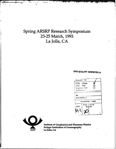# Spring ARSRP Research Symposium 23-25 March, 1993 La Jolla, CA

## DTIC QUALITY INSPECTED 5

| Accesion For                                |   |                           |  |  |  |
|---------------------------------------------|---|---------------------------|--|--|--|
| NTIS CRA&I<br>DTIC TAB                      | Ø |                           |  |  |  |
| Unannounced<br>Justification                | П |                           |  |  |  |
|                                             |   |                           |  |  |  |
| Distribution /<br><b>Availability Codes</b> |   |                           |  |  |  |
|                                             |   |                           |  |  |  |
|                                             |   |                           |  |  |  |
|                                             |   | Avail and / or<br>Special |  |  |  |



Institute of Geophysics and Planetary Physics **Scripps Institution of Oceanography** La Jolla, CA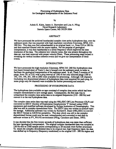#### Processing of Hydrophone Data for Geological Interpretation of the Sediment Pond

by

#### Ashok K. Kalra, James A. Showalter and Lisa A. Pflug Naval Research Laboratory Stennis Space Center, MS 39529-5004

#### ABSTRACT

We have processed the archived basebanded complex time series hydrophone data, over the sediment pond, that was acquired with high resolution waveform (Upsweep, HFM, 210 - 280 Hz). This data was first unbasebanded to its original band, i.e., from 210 to 280 Hz and then matched filtered with the source replica. For the purpose of geological interpretation, it was then basebanded to a lower frequency which improved the time resolution of the data. The coherent low velocity noise, that was present throughout the data set, was later removed with proper velocity filters. These processing steps helped in revealing the vertical incident coherent events and we give our interpretation of these events.

#### INTRODUCTION

We have processed the high resolution (Upsweep, HFM 210 -280 Hz) hydrophone data (not beam formed data) of Track 5, that is located over the sediment pond, in order to facilitate the geological interpretation of the sediment pond. In all, Track 5 consists of 30 pings, from 181 to 210, with a ping interval of 1582 m but only selected pings (188 to 192, 195, 196, 201,204 to 208) were available for processing. Although 128 channels (including two desensitized phones) of hydrophone data were acquired for each ping, for some pings only 64 channels were available for further processing and analysis.

#### PROCESSING OF HYDROPHONE DATA

The hydrophone data available on tape consisted of complex time series which had been complex demodulated to save storage space. Consequently, the first task was to unbaseband the complex time series data to its original frequencies (210 - 280 Hz) and convert it to the real hydrophone data.

The complex time series data was read using the NRL/SSC Off Line Processor (OLP) and converted to SEGY (Society of Exploration Geophysicists 'Y' format) using UNIX equipment and modified software developed by Scripps Institution of Oceanography. This data was still in complex demodulated form. The SEGY data was written to exabyte tapes for storage. Additional software was written by Richard R. Slater (NRL/SSC) to convert the SEGY format to ASCII for portability. This data which was still in the complex demodulated format could now be read, unbasebanded and converted to real data by software written in PV\_WAVE environment (Pflug, Caruthers and Slater, 1993).

It was decided that the first twenty seconds of hydrophone data was more than sufficient for later (geological) interpretation. The original complex basebanded data was sampled at 128 Hz and so 2560 sample points corresponding to 20 seconds were further processed. To return the complex demodulated data to its original real, high frequency band, the data was shifted up in frequency (frequency modulated) to the original 210 - 280 Hz region and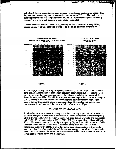paired with the corresponding negative frequency complex conjugate mirror image. This required that the sampling rate be increased to a minimum of 560 Hz. The modulated real data was interpolated to a sampling rate of 640 (or 12 800 real sample points for twenty seconds), a rate for which the data is somewhat oversampled.

The real data was matched filtered using the original 210 - 280 Hz (Upsweep, HFM) source replica. The time zero was defined to be the origin of source transmission.







 $\bullet$  .

At this stage, a display of the high frequency wideband (210 - 280 Hz) data indicated that time domain interpretation of such a high frequency data was difficult (see Figure 1). In order to improve the interpretational aspect of the data, the real data was basebanded to lower frequency of 0 Hz. The additional step of basebanding the data involved shifting the 210 - 280 Hz positive and negative frequency regions down to 0 Hz and applying an inverse Fourier transform to obtain time-domain data. This resulted in a simpler time domain wavelet and increased the time resolution of the data set (Figure 2).

#### DISCUSSION ON PROCESSING

Basebanding the data to lower frequency results in a relatively higher ratio of main-lobe to side-lobe energy in time domain in comparison to the one basebanded to higher frequency. This is illustrated in Figure 3. Figure 3 shows two time-domain-wavelets; one basebanded to 0Hz (5 - 75 Hz) and another at 205 Hz (210 - 280 Hz) with an identical bandwidth of 70 Hz. The wavelet basebanded to higher frequency (Figure 3b) exhibits a number of side lobes that are quite high in amplitude as compared to the main lobe. The wavelet basebanded to lower frequency (Figure 3a), on the other hand, indicates only one side lobe on either side of the main lobe and the side lobe energy is much lower than the main lobe. This contributes to the ease in the interpretational aspect of the wavelet basebanded to lower frequency such as the one in Figure 3a.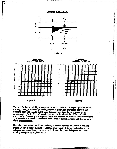









This was further verified by a wedge model which consists of two geological horizons, forming a wedge, indicating a varying degree of separation (thickness) between the horizons from one channel to the next. Figures 4 and 5 are the time responses to unbasebanded (210 - 280 Hz) wavelet and wavelet basebanded to 0 Hz (5 - 75 Hz) respectively. Obviously, the response to wavelet basebanded to lower frequency (Figure 5) is better able to detect the existence of two closely spaced horizons and thus exhibits better time resolution.

Next, data basebanded to 0 Hz was velocity filtered to enhance the vertically arriving events. Figure 6 shows the data of Figure 2 after velocity filtering, and it clearly has enhanced the vertically arriving events and eliminated the interfering coherent events arriving along the hydrophone array.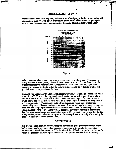#### INTERPRETATION OF DATA

Processed data (such as of Figure 6) indicates a lot of wedge-type horizons interfering with one another. However, we do not expect such sauctures to be real based on geological inferences of the depositional environment in this area. This is an area where pelagic



Figure 6

sediments accumulate at rates measured in centimeters per million years. These are very fine-grained sediments (mostly clay with some minor carbonate) derived from the settling of particles from the water column. Consequently, we do not expect any significant acoustic impedance contrasts within the sediments to generate the reflection events. We give below our interpretation of the data.

This data was acquired with a towed vertical array source, consisting of 10 elements with a separation of 3.66 m and the horizontal towed receiver array with a near offset of 912 m and far offset of 1224.5 m (ARSRP, 1991). With the water depth of 4130 m from the towed arrays and for the flat sea floor case, the incident angles at the receiver array from 6<sup>°</sup> to **80** approximately. The radiation pattern from the source within these angles vary considerably especially considering the presence of source and receiver ghosts. In practice, there was also coupling between the each source elements which further complicated the signal radiated by the source in the vertical direction. It was not possible to deghost the data due to the complicated source radiation pattern. Consequently, we believe that the data of Figure 6 represents in interference pattern of the complicated source signal (including the ghosts) reflected back from the sea floor.

#### **CONCLUSIONS**

It is illustrated that the time-resolution for the purposes of geological interpretation of the hydrophone data is improved when the data is processed with wavelet for which the frequency band is shifted to start at 0 Hz (basebanded to **0** Hz) in comparison to the one for which the passband starts at higher frequency. This should be true for beam forming